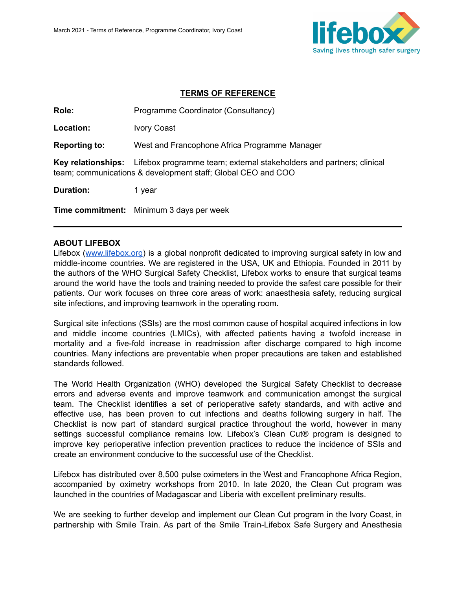

#### **TERMS OF REFERENCE**

Role: Programme Coordinator (Consultancy)

**Location:** Ivory Coast

**Reporting to:** West and Francophone Africa Programme Manager

**Key relationships:** Lifebox programme team; external stakeholders and partners; clinical team; communications & development staff; Global CEO and COO

**Duration:** 1 year

**Time commitment:** Minimum 3 days per week

#### **ABOUT LIFEBOX**

Lifebox ([www.lifebox.org\)](http://www.lifebox.org) is a global nonprofit dedicated to improving surgical safety in low and middle-income countries. We are registered in the USA, UK and Ethiopia. Founded in 2011 by the authors of the WHO Surgical Safety Checklist, Lifebox works to ensure that surgical teams around the world have the tools and training needed to provide the safest care possible for their patients. Our work focuses on three core areas of work: anaesthesia safety, reducing surgical site infections, and improving teamwork in the operating room.

Surgical site infections (SSIs) are the most common cause of hospital acquired infections in low and middle income countries (LMICs), with affected patients having a twofold increase in mortality and a five-fold increase in readmission after discharge compared to high income countries. Many infections are preventable when proper precautions are taken and established standards followed.

The World Health Organization (WHO) developed the Surgical Safety Checklist to decrease errors and adverse events and improve teamwork and communication amongst the surgical team. The Checklist identifies a set of perioperative safety standards, and with active and effective use, has been proven to cut infections and deaths following surgery in half. The Checklist is now part of standard surgical practice throughout the world, however in many settings successful compliance remains low. Lifebox's Clean Cut® program is designed to improve key perioperative infection prevention practices to reduce the incidence of SSIs and create an environment conducive to the successful use of the Checklist.

Lifebox has distributed over 8,500 pulse oximeters in the West and Francophone Africa Region, accompanied by oximetry workshops from 2010. In late 2020, the Clean Cut program was launched in the countries of Madagascar and Liberia with excellent preliminary results.

We are seeking to further develop and implement our Clean Cut program in the Ivory Coast, in partnership with Smile Train. As part of the Smile Train-Lifebox Safe Surgery and Anesthesia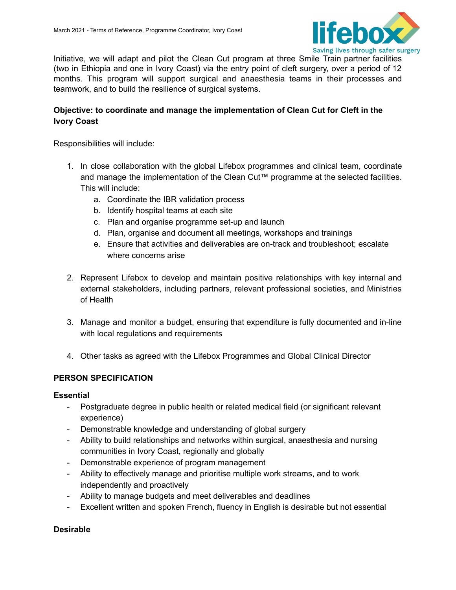

Initiative, we will adapt and pilot the Clean Cut program at three Smile Train partner facilities (two in Ethiopia and one in Ivory Coast) via the entry point of cleft surgery, over a period of 12 months. This program will support surgical and anaesthesia teams in their processes and teamwork, and to build the resilience of surgical systems.

## **Objective: to coordinate and manage the implementation of Clean Cut for Cleft in the Ivory Coast**

Responsibilities will include:

- 1. In close collaboration with the global Lifebox programmes and clinical team, coordinate and manage the implementation of the Clean Cut™ programme at the selected facilities. This will include:
	- a. Coordinate the IBR validation process
	- b. Identify hospital teams at each site
	- c. Plan and organise programme set-up and launch
	- d. Plan, organise and document all meetings, workshops and trainings
	- e. Ensure that activities and deliverables are on-track and troubleshoot; escalate where concerns arise
- 2. Represent Lifebox to develop and maintain positive relationships with key internal and external stakeholders, including partners, relevant professional societies, and Ministries of Health
- 3. Manage and monitor a budget, ensuring that expenditure is fully documented and in-line with local regulations and requirements
- 4. Other tasks as agreed with the Lifebox Programmes and Global Clinical Director

## **PERSON SPECIFICATION**

## **Essential**

- Postgraduate degree in public health or related medical field (or significant relevant experience)
- Demonstrable knowledge and understanding of global surgery
- Ability to build relationships and networks within surgical, anaesthesia and nursing communities in Ivory Coast, regionally and globally
- Demonstrable experience of program management
- Ability to effectively manage and prioritise multiple work streams, and to work independently and proactively
- Ability to manage budgets and meet deliverables and deadlines
- Excellent written and spoken French, fluency in English is desirable but not essential

## **Desirable**